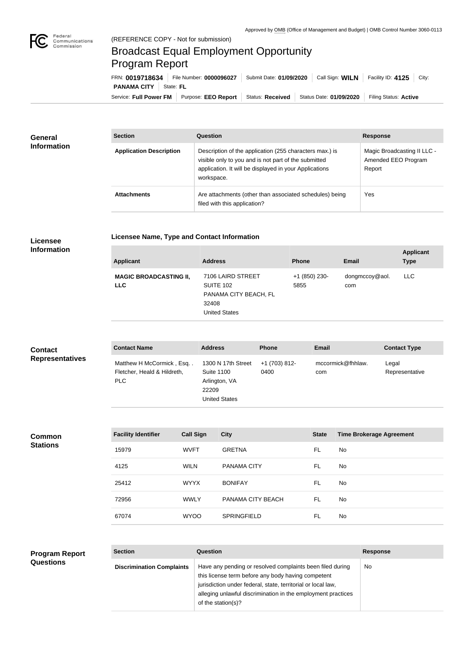

## Broadcast Equal Employment Opportunity Program Report

Service: Full Power FM Purpose: EEO Report | Status: Received | Status Date: 01/09/2020 | Filing Status: Active **PANAMA CITY** State: FL FRN: **0019718634** File Number: **0000096027** Submit Date: **01/09/2020** Call Sign: **WILN** Facility ID: **4125** City:

| <b>General</b><br><b>Information</b> | <b>Section</b>                 | Question                                                                                                                                                                                | <b>Response</b>                                              |
|--------------------------------------|--------------------------------|-----------------------------------------------------------------------------------------------------------------------------------------------------------------------------------------|--------------------------------------------------------------|
|                                      | <b>Application Description</b> | Description of the application (255 characters max.) is<br>visible only to you and is not part of the submitted<br>application. It will be displayed in your Applications<br>workspace. | Magic Broadcasting II LLC -<br>Amended EEO Program<br>Report |
|                                      | <b>Attachments</b>             | Are attachments (other than associated schedules) being<br>filed with this application?                                                                                                 | Yes                                                          |

## **Licensee**

## **Licensee Name, Type and Contact Information**

**Information**

| <b>Applicant</b>                            | <b>Address</b>                                                                                  | <b>Phone</b>          | <b>Email</b>          | <b>Applicant</b><br><b>Type</b> |
|---------------------------------------------|-------------------------------------------------------------------------------------------------|-----------------------|-----------------------|---------------------------------|
| <b>MAGIC BROADCASTING II,</b><br><b>LLC</b> | 7106 LAIRD STREET<br><b>SUITE 102</b><br>PANAMA CITY BEACH, FL<br>32408<br><b>United States</b> | +1 (850) 230-<br>5855 | dongmccoy@aol.<br>com | <b>LLC</b>                      |

| <b>Contact</b>         | <b>Contact Name</b>                                             | <b>Address</b>                                                                            | <b>Phone</b>          | <b>Email</b>             | <b>Contact Type</b>     |
|------------------------|-----------------------------------------------------------------|-------------------------------------------------------------------------------------------|-----------------------|--------------------------|-------------------------|
| <b>Representatives</b> | Matthew H McCormick, Esq<br>Fletcher, Heald & Hildreth,<br>PLC. | 1300 N 17th Street<br><b>Suite 1100</b><br>Arlington, VA<br>22209<br><b>United States</b> | +1 (703) 812-<br>0400 | mccormick@fhhlaw.<br>com | Legal<br>Representative |

**Common Stations**

| <b>Facility Identifier</b> | <b>Call Sign</b> | <b>City</b>        | <b>State</b> | <b>Time Brokerage Agreement</b> |
|----------------------------|------------------|--------------------|--------------|---------------------------------|
| 15979                      | <b>WVFT</b>      | <b>GRETNA</b>      | FL           | No                              |
| 4125                       | <b>WILN</b>      | <b>PANAMA CITY</b> | FL           | No.                             |
| 25412                      | <b>WYYX</b>      | <b>BONIFAY</b>     | FL           | No                              |
| 72956                      | <b>WWLY</b>      | PANAMA CITY BEACH  | FL           | No.                             |
| 67074                      | <b>WYOO</b>      | <b>SPRINGFIELD</b> | FL           | No                              |

| <b>Program Report</b> | <b>Section</b>                   | Question                                                                                                                                                                                                                                                              | <b>Response</b> |
|-----------------------|----------------------------------|-----------------------------------------------------------------------------------------------------------------------------------------------------------------------------------------------------------------------------------------------------------------------|-----------------|
| <b>Questions</b>      | <b>Discrimination Complaints</b> | Have any pending or resolved complaints been filed during<br>this license term before any body having competent<br>jurisdiction under federal, state, territorial or local law,<br>alleging unlawful discrimination in the employment practices<br>of the station(s)? | <b>No</b>       |
|                       |                                  |                                                                                                                                                                                                                                                                       |                 |